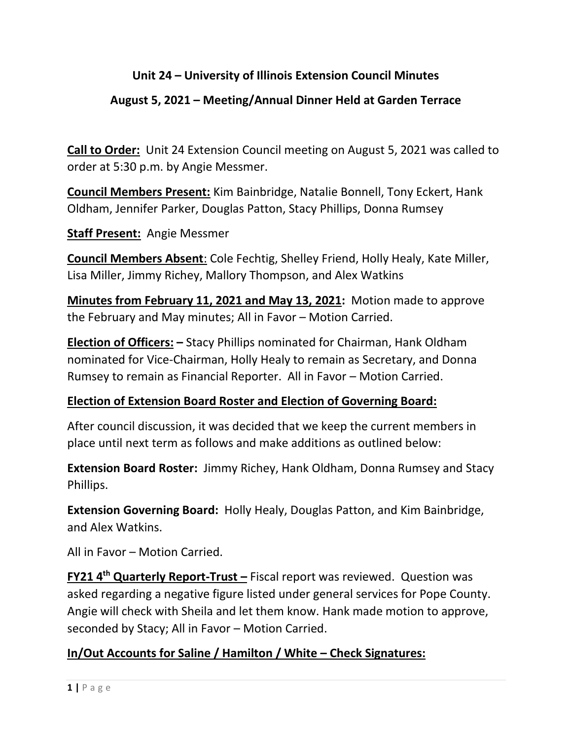# **Unit 24 – University of Illinois Extension Council Minutes**

## **August 5, 2021 – Meeting/Annual Dinner Held at Garden Terrace**

**Call to Order:** Unit 24 Extension Council meeting on August 5, 2021 was called to order at 5:30 p.m. by Angie Messmer.

**Council Members Present:** Kim Bainbridge, Natalie Bonnell, Tony Eckert, Hank Oldham, Jennifer Parker, Douglas Patton, Stacy Phillips, Donna Rumsey

**Staff Present:** Angie Messmer

**Council Members Absent**: Cole Fechtig, Shelley Friend, Holly Healy, Kate Miller, Lisa Miller, Jimmy Richey, Mallory Thompson, and Alex Watkins

**Minutes from February 11, 2021 and May 13, 2021:** Motion made to approve the February and May minutes; All in Favor – Motion Carried.

**Election of Officers: –** Stacy Phillips nominated for Chairman, Hank Oldham nominated for Vice-Chairman, Holly Healy to remain as Secretary, and Donna Rumsey to remain as Financial Reporter. All in Favor – Motion Carried.

#### **Election of Extension Board Roster and Election of Governing Board:**

After council discussion, it was decided that we keep the current members in place until next term as follows and make additions as outlined below:

**Extension Board Roster:** Jimmy Richey, Hank Oldham, Donna Rumsey and Stacy Phillips.

**Extension Governing Board:** Holly Healy, Douglas Patton, and Kim Bainbridge, and Alex Watkins.

All in Favor – Motion Carried.

**FY21 4th Quarterly Report-Trust –** Fiscal report was reviewed. Question was asked regarding a negative figure listed under general services for Pope County. Angie will check with Sheila and let them know. Hank made motion to approve, seconded by Stacy; All in Favor – Motion Carried.

#### **In/Out Accounts for Saline / Hamilton / White – Check Signatures:**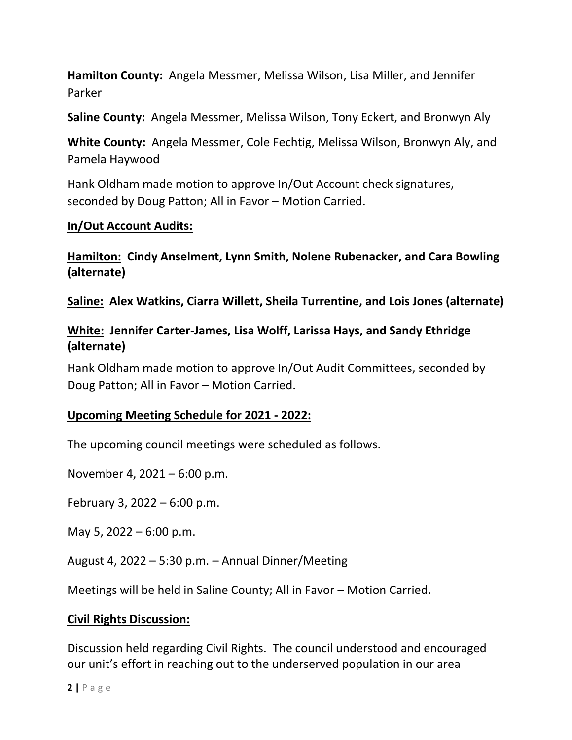**Hamilton County:** Angela Messmer, Melissa Wilson, Lisa Miller, and Jennifer Parker

**Saline County:** Angela Messmer, Melissa Wilson, Tony Eckert, and Bronwyn Aly

**White County:** Angela Messmer, Cole Fechtig, Melissa Wilson, Bronwyn Aly, and Pamela Haywood

Hank Oldham made motion to approve In/Out Account check signatures, seconded by Doug Patton; All in Favor – Motion Carried.

#### **In/Out Account Audits:**

**Hamilton: Cindy Anselment, Lynn Smith, Nolene Rubenacker, and Cara Bowling (alternate)**

**Saline: Alex Watkins, Ciarra Willett, Sheila Turrentine, and Lois Jones (alternate)**

### **White: Jennifer Carter-James, Lisa Wolff, Larissa Hays, and Sandy Ethridge (alternate)**

Hank Oldham made motion to approve In/Out Audit Committees, seconded by Doug Patton; All in Favor – Motion Carried.

#### **Upcoming Meeting Schedule for 2021 - 2022:**

The upcoming council meetings were scheduled as follows.

November 4, 2021 – 6:00 p.m.

February 3, 2022 – 6:00 p.m.

May 5, 2022 – 6:00 p.m.

August 4, 2022 – 5:30 p.m. – Annual Dinner/Meeting

Meetings will be held in Saline County; All in Favor – Motion Carried.

#### **Civil Rights Discussion:**

Discussion held regarding Civil Rights. The council understood and encouraged our unit's effort in reaching out to the underserved population in our area